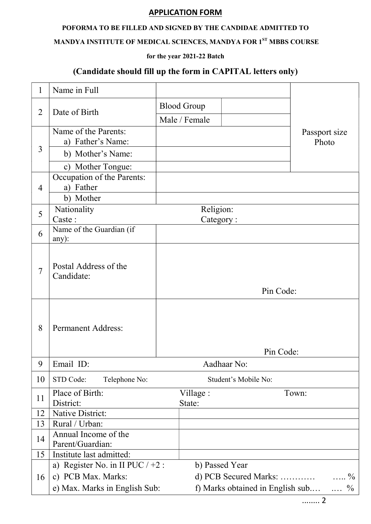## APPLICATION FORM

## POFORMA TO BE FILLED AND SIGNED BY THE CANDIDAE ADMITTED TO

# MANDYA INSTITUTE OF MEDICAL SCIENCES, MANDYA FOR 1<sup>ST</sup> MBBS COURSE

## for the year 2021-22 Batch

## (Candidate should fill up the form in CAPITAL letters only)

| $\mathbf{1}$   | Name in Full                       |           |                                                          |           |               |
|----------------|------------------------------------|-----------|----------------------------------------------------------|-----------|---------------|
| $\overline{2}$ | Date of Birth                      |           | <b>Blood Group</b>                                       |           |               |
|                |                                    |           | Male / Female                                            |           |               |
| 3              | Name of the Parents:               |           |                                                          |           | Passport size |
|                | a) Father's Name:                  |           |                                                          |           | Photo         |
|                | b) Mother's Name:                  |           |                                                          |           |               |
|                | c) Mother Tongue:                  |           |                                                          |           |               |
| $\overline{4}$ | Occupation of the Parents:         |           |                                                          |           |               |
|                | a) Father                          |           |                                                          |           |               |
|                | b) Mother                          |           |                                                          |           |               |
| 5              | Nationality<br>Caste:              |           | Religion:                                                | Category: |               |
|                | Name of the Guardian (if<br>any):  |           |                                                          |           |               |
| 6              |                                    |           |                                                          |           |               |
|                |                                    |           |                                                          |           |               |
|                | Postal Address of the              |           |                                                          |           |               |
| 7              | Candidate:                         |           |                                                          |           |               |
|                |                                    | Pin Code: |                                                          |           |               |
|                |                                    |           |                                                          |           |               |
|                |                                    |           |                                                          |           |               |
| 8              | <b>Permanent Address:</b>          |           |                                                          |           |               |
|                |                                    |           |                                                          |           |               |
|                |                                    |           | Pin Code:                                                |           |               |
| 9              | Email ID:                          |           | Aadhaar No:                                              |           |               |
| 10             | STD Code:<br>Telephone No:         |           | Student's Mobile No:                                     |           |               |
|                | Place of Birth:                    | Village : |                                                          | Town:     |               |
| 11             | District:                          |           | State:                                                   |           |               |
| 12             | <b>Native District:</b>            |           |                                                          |           |               |
| 13             | Rural / Urban:                     |           |                                                          |           |               |
| 14             | Annual Income of the               |           |                                                          |           |               |
|                | Parent/Guardian:                   |           |                                                          |           |               |
| 15             | Institute last admitted:           |           |                                                          |           |               |
| 16             | a) Register No. in II PUC $/ +2$ : |           | b) Passed Year                                           |           |               |
|                | c) PCB Max. Marks:                 |           | d) PCB Secured Marks:<br>$\ldots$ %                      |           |               |
|                | e) Max. Marks in English Sub:      |           | f) Marks obtained in English sub<br>$\ldots \frac{0}{0}$ |           |               |

........ 2